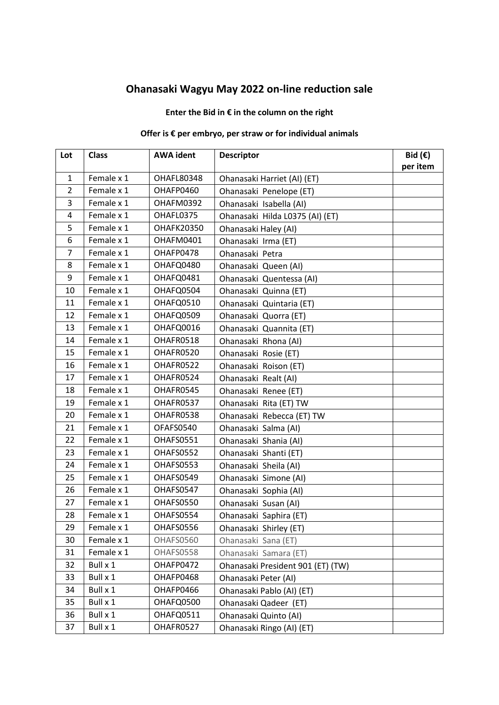## **Ohanasaki Wagyu May 2022 on-line reduction sale**

## **Enter the Bid in € in the column on the right**

## **Offer is € per embryo, per straw or for individual animals**

| Lot            | <b>Class</b> | <b>AWA</b> ident  | <b>Descriptor</b>                 | Bid $(\epsilon)$<br>per item |
|----------------|--------------|-------------------|-----------------------------------|------------------------------|
| $\mathbf{1}$   | Female x 1   | OHAFL80348        | Ohanasaki Harriet (AI) (ET)       |                              |
| $\overline{2}$ | Female x 1   | OHAFP0460         | Ohanasaki Penelope (ET)           |                              |
| 3              | Female x 1   | OHAFM0392         | Ohanasaki Isabella (AI)           |                              |
| 4              | Female x 1   | OHAFL0375         | Ohanasaki Hilda L0375 (AI) (ET)   |                              |
| 5              | Female x 1   | <b>OHAFK20350</b> | Ohanasaki Haley (AI)              |                              |
| 6              | Female x 1   | OHAFM0401         | Ohanasaki Irma (ET)               |                              |
| 7              | Female x 1   | OHAFP0478         | Ohanasaki Petra                   |                              |
| 8              | Female x 1   | OHAFQ0480         | Ohanasaki Queen (AI)              |                              |
| 9              | Female x 1   | OHAFQ0481         | Ohanasaki Quentessa (AI)          |                              |
| 10             | Female x 1   | OHAFQ0504         | Ohanasaki Quinna (ET)             |                              |
| 11             | Female x 1   | OHAFQ0510         | Ohanasaki Quintaria (ET)          |                              |
| 12             | Female x 1   | OHAFQ0509         | Ohanasaki Quorra (ET)             |                              |
| 13             | Female x 1   | OHAFQ0016         | Ohanasaki Quannita (ET)           |                              |
| 14             | Female x 1   | OHAFR0518         | Ohanasaki Rhona (AI)              |                              |
| 15             | Female x 1   | OHAFR0520         | Ohanasaki Rosie (ET)              |                              |
| 16             | Female x 1   | OHAFR0522         | Ohanasaki Roison (ET)             |                              |
| 17             | Female x 1   | OHAFR0524         | Ohanasaki Realt (AI)              |                              |
| 18             | Female x 1   | OHAFR0545         | Ohanasaki Renee (ET)              |                              |
| 19             | Female x 1   | OHAFR0537         | Ohanasaki Rita (ET) TW            |                              |
| 20             | Female x 1   | OHAFR0538         | Ohanasaki Rebecca (ET) TW         |                              |
| 21             | Female x 1   | OFAFS0540         | Ohanasaki Salma (AI)              |                              |
| 22             | Female x 1   | OHAFS0551         | Ohanasaki Shania (AI)             |                              |
| 23             | Female x 1   | OHAFS0552         | Ohanasaki Shanti (ET)             |                              |
| 24             | Female x 1   | OHAFS0553         | Ohanasaki Sheila (AI)             |                              |
| 25             | Female x 1   | OHAFS0549         | Ohanasaki Simone (AI)             |                              |
| 26             | Female x 1   | OHAFS0547         | Ohanasaki Sophia (AI)             |                              |
| 27             | Female x 1   | OHAFS0550         | Ohanasaki Susan (AI)              |                              |
| 28             | Female x 1   | OHAFS0554         | Ohanasaki Saphira (ET)            |                              |
| 29             | Female x 1   | OHAFS0556         | Ohanasaki Shirley (ET)            |                              |
| 30             | Female x 1   | OHAFS0560         | Ohanasaki Sana (ET)               |                              |
| 31             | Female x 1   | OHAFS0558         | Ohanasaki Samara (ET)             |                              |
| 32             | Bull x 1     | OHAFP0472         | Ohanasaki President 901 (ET) (TW) |                              |
| 33             | Bull x 1     | OHAFP0468         | Ohanasaki Peter (AI)              |                              |
| 34             | Bull x 1     | OHAFP0466         | Ohanasaki Pablo (AI) (ET)         |                              |
| 35             | Bull x 1     | OHAFQ0500         | Ohanasaki Qadeer (ET)             |                              |
| 36             | Bull x 1     | OHAFQ0511         | Ohanasaki Quinto (AI)             |                              |
| 37             | Bull x 1     | OHAFR0527         | Ohanasaki Ringo (AI) (ET)         |                              |